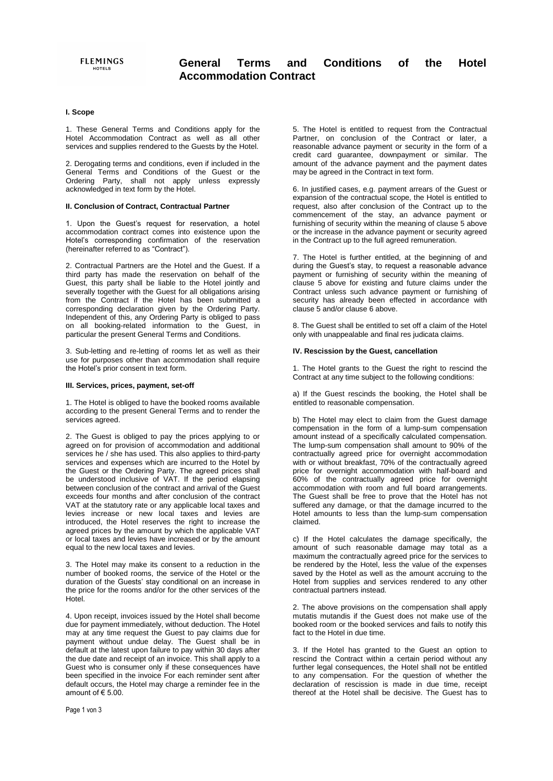## **I. Scope**

1. These General Terms and Conditions apply for the Hotel Accommodation Contract as well as all other services and supplies rendered to the Guests by the Hotel.

2. Derogating terms and conditions, even if included in the General Terms and Conditions of the Guest or the Ordering Party, shall not apply unless expressly acknowledged in text form by the Hotel.

#### **II. Conclusion of Contract, Contractual Partner**

1. Upon the Guest's request for reservation, a hotel accommodation contract comes into existence upon the Hotel's corresponding confirmation of the reservation (hereinafter referred to as "Contract").

2. Contractual Partners are the Hotel and the Guest. If a third party has made the reservation on behalf of the Guest, this party shall be liable to the Hotel jointly and severally together with the Guest for all obligations arising from the Contract if the Hotel has been submitted a corresponding declaration given by the Ordering Party. Independent of this, any Ordering Party is obliged to pass on all booking-related information to the Guest, in particular the present General Terms and Conditions.

3. Sub-letting and re-letting of rooms let as well as their use for purposes other than accommodation shall require the Hotel's prior consent in text form.

#### **III. Services, prices, payment, set-off**

1. The Hotel is obliged to have the booked rooms available according to the present General Terms and to render the services agreed.

2. The Guest is obliged to pay the prices applying to or agreed on for provision of accommodation and additional services he / she has used. This also applies to third-party services and expenses which are incurred to the Hotel by the Guest or the Ordering Party. The agreed prices shall be understood inclusive of VAT. If the period elapsing between conclusion of the contract and arrival of the Guest exceeds four months and after conclusion of the contract VAT at the statutory rate or any applicable local taxes and levies increase or new local taxes and levies are introduced, the Hotel reserves the right to increase the agreed prices by the amount by which the applicable VAT or local taxes and levies have increased or by the amount equal to the new local taxes and levies.

3. The Hotel may make its consent to a reduction in the number of booked rooms, the service of the Hotel or the duration of the Guests' stay conditional on an increase in the price for the rooms and/or for the other services of the Hotel.

4. Upon receipt, invoices issued by the Hotel shall become due for payment immediately, without deduction. The Hotel may at any time request the Guest to pay claims due for payment without undue delay. The Guest shall be in default at the latest upon failure to pay within 30 days after the due date and receipt of an invoice. This shall apply to a Guest who is consumer only if these consequences have been specified in the invoice For each reminder sent after default occurs, the Hotel may charge a reminder fee in the amount of € 5.00.

5. The Hotel is entitled to request from the Contractual Partner, on conclusion of the Contract or later, a reasonable advance payment or security in the form of a credit card guarantee, downpayment or similar. The amount of the advance payment and the payment dates may be agreed in the Contract in text form.

6. In justified cases, e.g. payment arrears of the Guest or expansion of the contractual scope, the Hotel is entitled to request, also after conclusion of the Contract up to the commencement of the stay, an advance payment or furnishing of security within the meaning of clause 5 above or the increase in the advance payment or security agreed in the Contract up to the full agreed remuneration.

7. The Hotel is further entitled, at the beginning of and during the Guest's stay, to request a reasonable advance payment or furnishing of security within the meaning of clause 5 above for existing and future claims under the Contract unless such advance payment or furnishing of security has already been effected in accordance with clause 5 and/or clause 6 above.

8. The Guest shall be entitled to set off a claim of the Hotel only with unappealable and final res judicata claims.

# **IV. Rescission by the Guest, cancellation**

1. The Hotel grants to the Guest the right to rescind the Contract at any time subject to the following conditions:

a) If the Guest rescinds the booking, the Hotel shall be entitled to reasonable compensation.

b) The Hotel may elect to claim from the Guest damage compensation in the form of a lump-sum compensation amount instead of a specifically calculated compensation. The lump-sum compensation shall amount to 90% of the contractually agreed price for overnight accommodation with or without breakfast, 70% of the contractually agreed price for overnight accommodation with half-board and 60% of the contractually agreed price for overnight accommodation with room and full board arrangements. The Guest shall be free to prove that the Hotel has not suffered any damage, or that the damage incurred to the Hotel amounts to less than the lump-sum compensation claimed.

c) If the Hotel calculates the damage specifically, the amount of such reasonable damage may total as a maximum the contractually agreed price for the services to be rendered by the Hotel, less the value of the expenses saved by the Hotel as well as the amount accruing to the Hotel from supplies and services rendered to any other contractual partners instead.

2. The above provisions on the compensation shall apply mutatis mutandis if the Guest does not make use of the booked room or the booked services and fails to notify this fact to the Hotel in due time.

3. If the Hotel has granted to the Guest an option to rescind the Contract within a certain period without any further legal consequences, the Hotel shall not be entitled to any compensation. For the question of whether the declaration of rescission is made in due time, receipt thereof at the Hotel shall be decisive. The Guest has to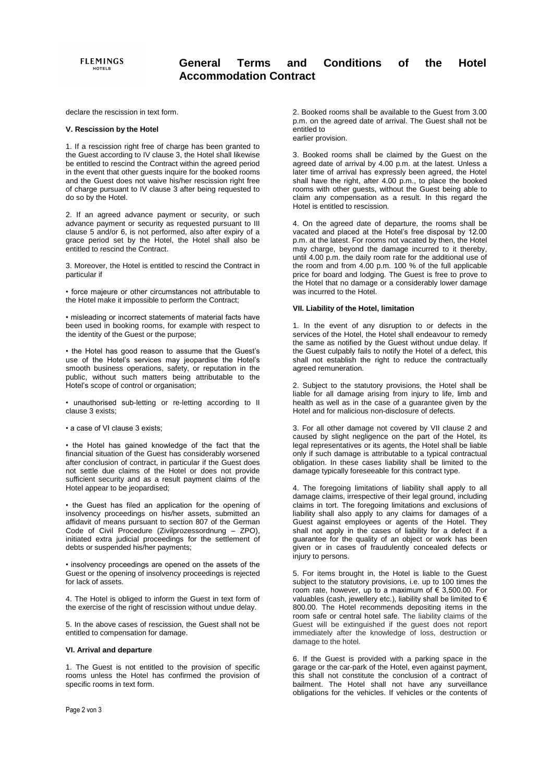# **General Terms and Conditions of the Hotel Accommodation Contract**

declare the rescission in text form.

### **V. Rescission by the Hotel**

1. If a rescission right free of charge has been granted to the Guest according to IV clause 3, the Hotel shall likewise be entitled to rescind the Contract within the agreed period in the event that other guests inquire for the booked rooms and the Guest does not waive his/her rescission right free of charge pursuant to IV clause 3 after being requested to do so by the Hotel.

2. If an agreed advance payment or security, or such advance payment or security as requested pursuant to III clause 5 and/or 6, is not performed, also after expiry of a grace period set by the Hotel, the Hotel shall also be entitled to rescind the Contract.

3. Moreover, the Hotel is entitled to rescind the Contract in particular if

• force majeure or other circumstances not attributable to the Hotel make it impossible to perform the Contract;

• misleading or incorrect statements of material facts have been used in booking rooms, for example with respect to the identity of the Guest or the purpose;

• the Hotel has good reason to assume that the Guest's use of the Hotel's services may jeopardise the Hotel's smooth business operations, safety, or reputation in the public, without such matters being attributable to the Hotel's scope of control or organisation;

• unauthorised sub-letting or re-letting according to II clause 3 exists;

#### • a case of VI clause 3 exists;

• the Hotel has gained knowledge of the fact that the financial situation of the Guest has considerably worsened after conclusion of contract, in particular if the Guest does not settle due claims of the Hotel or does not provide sufficient security and as a result payment claims of the Hotel appear to be jeopardised;

• the Guest has filed an application for the opening of insolvency proceedings on his/her assets, submitted an affidavit of means pursuant to section 807 of the German Code of Civil Procedure (Zivilprozessordnung – ZPO), initiated extra judicial proceedings for the settlement of debts or suspended his/her payments;

• insolvency proceedings are opened on the assets of the Guest or the opening of insolvency proceedings is rejected for lack of assets.

4. The Hotel is obliged to inform the Guest in text form of the exercise of the right of rescission without undue delay.

5. In the above cases of rescission, the Guest shall not be entitled to compensation for damage.

#### **VI. Arrival and departure**

1. The Guest is not entitled to the provision of specific rooms unless the Hotel has confirmed the provision of specific rooms in text form.

2. Booked rooms shall be available to the Guest from 3.00 p.m. on the agreed date of arrival. The Guest shall not be entitled to earlier provision.

3. Booked rooms shall be claimed by the Guest on the agreed date of arrival by 4.00 p.m. at the latest. Unless a later time of arrival has expressly been agreed, the Hotel shall have the right, after 4.00 p.m., to place the booked rooms with other guests, without the Guest being able to claim any compensation as a result. In this regard the Hotel is entitled to rescission.

4. On the agreed date of departure, the rooms shall be vacated and placed at the Hotel's free disposal by 12.00 p.m. at the latest. For rooms not vacated by then, the Hotel may charge, beyond the damage incurred to it thereby, until 4.00 p.m. the daily room rate for the additional use of the room and from 4.00 p.m. 100 % of the full applicable price for board and lodging. The Guest is free to prove to the Hotel that no damage or a considerably lower damage was incurred to the Hotel.

# **VII. Liability of the Hotel, limitation**

1. In the event of any disruption to or defects in the services of the Hotel, the Hotel shall endeavour to remedy the same as notified by the Guest without undue delay. If the Guest culpably fails to notify the Hotel of a defect, this shall not establish the right to reduce the contractually agreed remuneration.

2. Subject to the statutory provisions, the Hotel shall be liable for all damage arising from injury to life, limb and health as well as in the case of a guarantee given by the Hotel and for malicious non-disclosure of defects.

3. For all other damage not covered by VII clause 2 and caused by slight negligence on the part of the Hotel, its legal representatives or its agents, the Hotel shall be liable only if such damage is attributable to a typical contractual obligation. In these cases liability shall be limited to the damage typically foreseeable for this contract type.

4. The foregoing limitations of liability shall apply to all damage claims, irrespective of their legal ground, including claims in tort. The foregoing limitations and exclusions of liability shall also apply to any claims for damages of a Guest against employees or agents of the Hotel. They shall not apply in the cases of liability for a defect if a guarantee for the quality of an object or work has been given or in cases of fraudulently concealed defects or injury to persons.

5. For items brought in, the Hotel is liable to the Guest subject to the statutory provisions, i.e. up to 100 times the room rate, however, up to a maximum of € 3,500.00. For valuables (cash, jewellery etc.), liability shall be limited to  $\epsilon$ 800.00. The Hotel recommends depositing items in the room safe or central hotel safe. The liability claims of the Guest will be extinguished if the guest does not report immediately after the knowledge of loss, destruction or damage to the hotel.

6. If the Guest is provided with a parking space in the garage or the car-park of the Hotel, even against payment, this shall not constitute the conclusion of a contract of bailment. The Hotel shall not have any surveillance obligations for the vehicles. If vehicles or the contents of